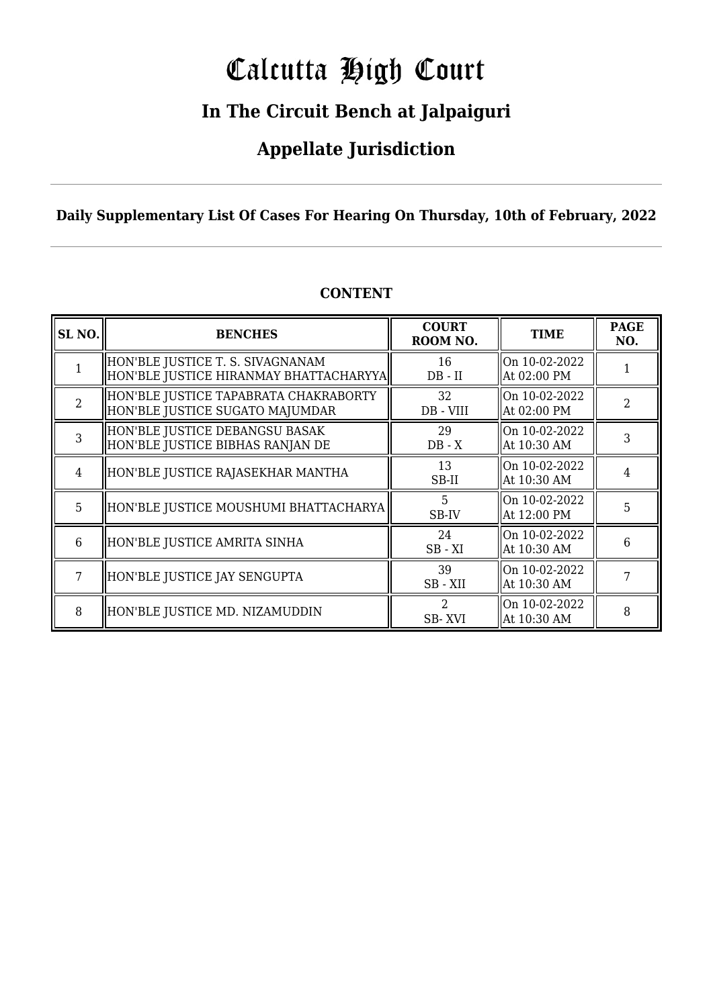# Calcutta High Court

### **In The Circuit Bench at Jalpaiguri**

### **Appellate Jurisdiction**

#### **Daily Supplementary List Of Cases For Hearing On Thursday, 10th of February, 2022**

| SL <sub>NO.</sub> | <b>BENCHES</b>                                                             | <b>COURT</b><br>ROOM NO. | <b>TIME</b>                   | <b>PAGE</b><br>NO. |
|-------------------|----------------------------------------------------------------------------|--------------------------|-------------------------------|--------------------|
|                   | HON'BLE JUSTICE T. S. SIVAGNANAM<br>HON'BLE JUSTICE HIRANMAY BHATTACHARYYA | 16<br>$DB - II$          | lOn 10-02-2022<br>At 02:00 PM |                    |
| $\overline{2}$    | HON'BLE JUSTICE TAPABRATA CHAKRABORTY<br>HON'BLE JUSTICE SUGATO MAJUMDAR   | 32<br>DB - VIII          | On 10-02-2022<br>At 02:00 PM  | $\mathfrak{D}$     |
| 3                 | HON'BLE JUSTICE DEBANGSU BASAK<br>HON'BLE JUSTICE BIBHAS RANJAN DE         | 29<br>$DB - X$           | On 10-02-2022<br>At 10:30 AM  | 3                  |
| $\overline{4}$    | HON'BLE JUSTICE RAJASEKHAR MANTHA                                          | 13<br>SB-II              | On 10-02-2022<br>At 10:30 AM  | 4                  |
| 5                 | HON'BLE JUSTICE MOUSHUMI BHATTACHARYA                                      | 5<br>SB-IV               | On 10-02-2022<br>At 12:00 PM  | 5                  |
| 6                 | HON'BLE JUSTICE AMRITA SINHA                                               | 24<br>$SB - XI$          | On 10-02-2022<br>At 10:30 AM  | 6                  |
| 7                 | HON'BLE JUSTICE JAY SENGUPTA                                               | 39<br>SB-XII             | On 10-02-2022<br>At 10:30 AM  |                    |
| 8                 | HON'BLE JUSTICE MD. NIZAMUDDIN                                             | $\mathfrak{D}$<br>SB-XVI | On 10-02-2022<br>At 10:30 AM  | 8                  |

#### **CONTENT**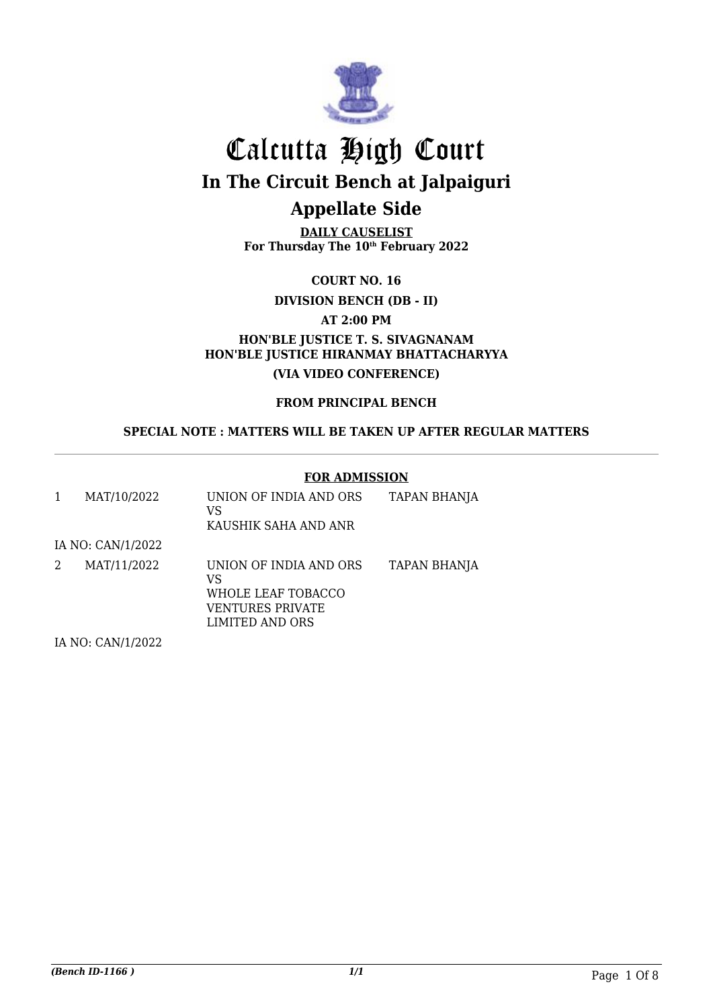

**DAILY CAUSELIST For Thursday The 10th February 2022**

**COURT NO. 16**

**DIVISION BENCH (DB - II)**

**AT 2:00 PM**

**HON'BLE JUSTICE T. S. SIVAGNANAM HON'BLE JUSTICE HIRANMAY BHATTACHARYYA (VIA VIDEO CONFERENCE)**

**FROM PRINCIPAL BENCH**

**SPECIAL NOTE : MATTERS WILL BE TAKEN UP AFTER REGULAR MATTERS**

#### **FOR ADMISSION**

| 1 | MAT/10/2022                                                          | UNION OF INDIA AND ORS<br>VS<br>KAUSHIK SAHA AND ANR                                      | <b>TAPAN BHANJA</b> |
|---|----------------------------------------------------------------------|-------------------------------------------------------------------------------------------|---------------------|
|   | IA NO: CAN/1/2022                                                    |                                                                                           |                     |
| 2 | MAT/11/2022                                                          | UNION OF INDIA AND ORS<br>VS<br>WHOLE LEAF TOBACCO<br>VENTURES PRIVATE<br>LIMITED AND ORS | TAPAN BHANJA        |
|   | $H$ $\Lambda$ $D$ $\Lambda$ $\Lambda$ $H$ $H$ $P$ $\Lambda$ $\Omega$ |                                                                                           |                     |

IA NO: CAN/1/2022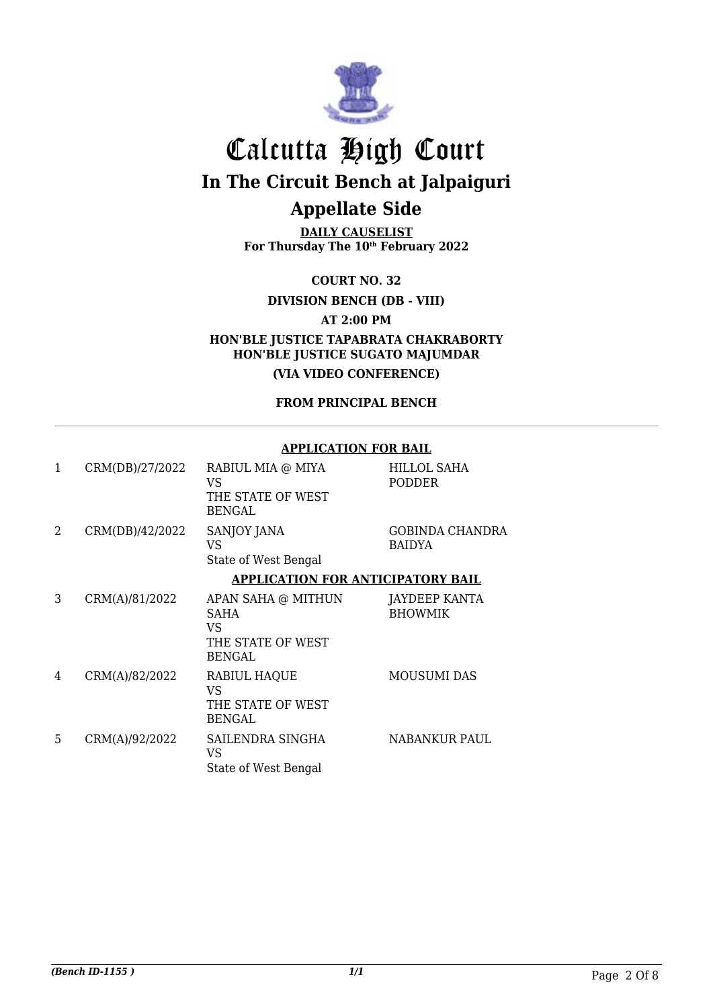

**DAILY CAUSELIST For Thursday The 10th February 2022**

**COURT NO. 32**

**DIVISION BENCH (DB - VIII)**

**AT 2:00 PM**

**HON'BLE JUSTICE TAPABRATA CHAKRABORTY HON'BLE JUSTICE SUGATO MAJUMDAR**

**(VIA VIDEO CONFERENCE)**

**FROM PRINCIPAL BENCH**

#### **APPLICATION FOR BAIL**

| 1 | CRM(DB)/27/2022 | RABIUL MIA @ MIYA<br>VS.<br>THE STATE OF WEST<br><b>BENGAL</b>         | <b>HILLOL SAHA</b><br><b>PODDER</b>     |
|---|-----------------|------------------------------------------------------------------------|-----------------------------------------|
| 2 | CRM(DB)/42/2022 | SANJOY JANA<br>VS<br>State of West Bengal                              | <b>GOBINDA CHANDRA</b><br><b>BAIDYA</b> |
|   |                 | <b>APPLICATION FOR ANTICIPATORY BAIL</b>                               |                                         |
| 3 | CRM(A)/81/2022  | APAN SAHA @ MITHUN<br><b>SAHA</b><br>VS<br>THE STATE OF WEST<br>BENGAL | JAYDEEP KANTA<br><b>BHOWMIK</b>         |
| 4 | CRM(A)/82/2022  | RABIUL HAQUE<br>VS<br>THE STATE OF WEST<br><b>BENGAL</b>               | <b>MOUSUMI DAS</b>                      |
| 5 | CRM(A)/92/2022  | SAILENDRA SINGHA<br>VS<br>State of West Bengal                         | <b>NABANKUR PAUL</b>                    |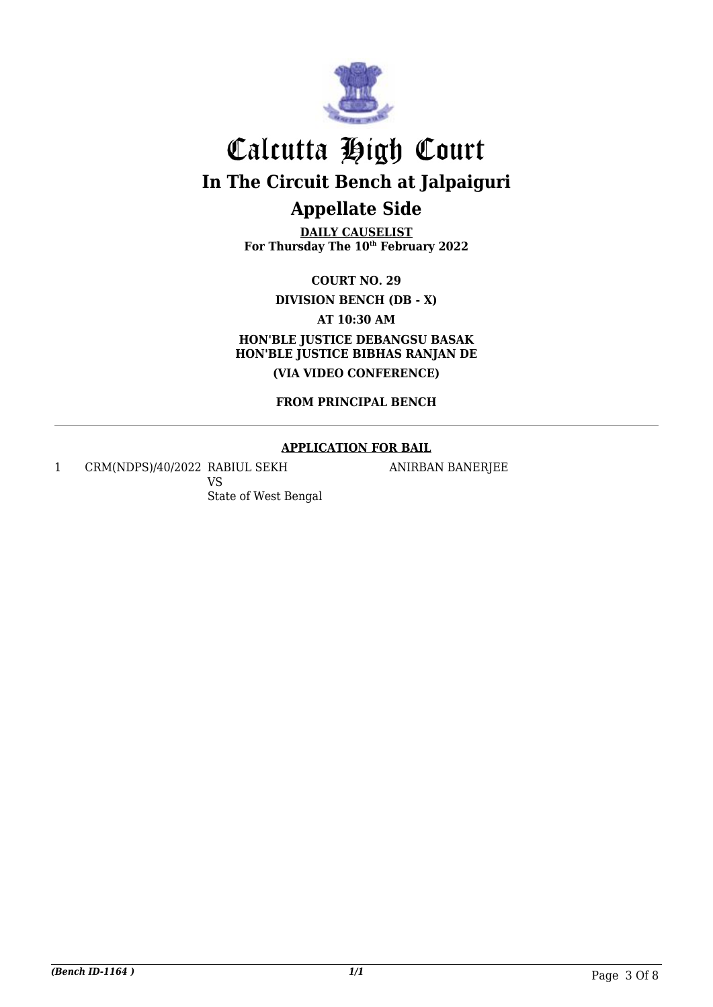

**DAILY CAUSELIST For Thursday The 10th February 2022**

**COURT NO. 29 DIVISION BENCH (DB - X) AT 10:30 AM HON'BLE JUSTICE DEBANGSU BASAK HON'BLE JUSTICE BIBHAS RANJAN DE (VIA VIDEO CONFERENCE)**

**FROM PRINCIPAL BENCH**

#### **APPLICATION FOR BAIL**

1 CRM(NDPS)/40/2022 RABIUL SEKH VS State of West Bengal ANIRBAN BANERJEE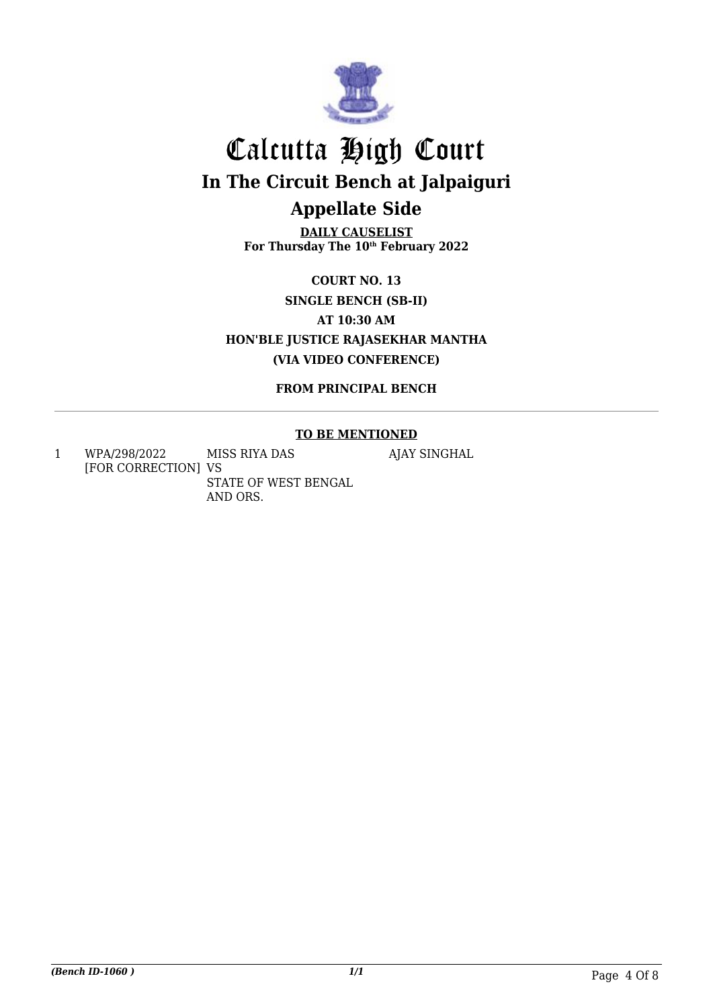

**DAILY CAUSELIST For Thursday The 10th February 2022**

**COURT NO. 13 SINGLE BENCH (SB-II) AT 10:30 AM HON'BLE JUSTICE RAJASEKHAR MANTHA (VIA VIDEO CONFERENCE)**

**FROM PRINCIPAL BENCH**

#### **TO BE MENTIONED**

AJAY SINGHAL

1 WPA/298/2022 [FOR CORRECTION] VS MISS RIYA DAS STATE OF WEST BENGAL AND ORS.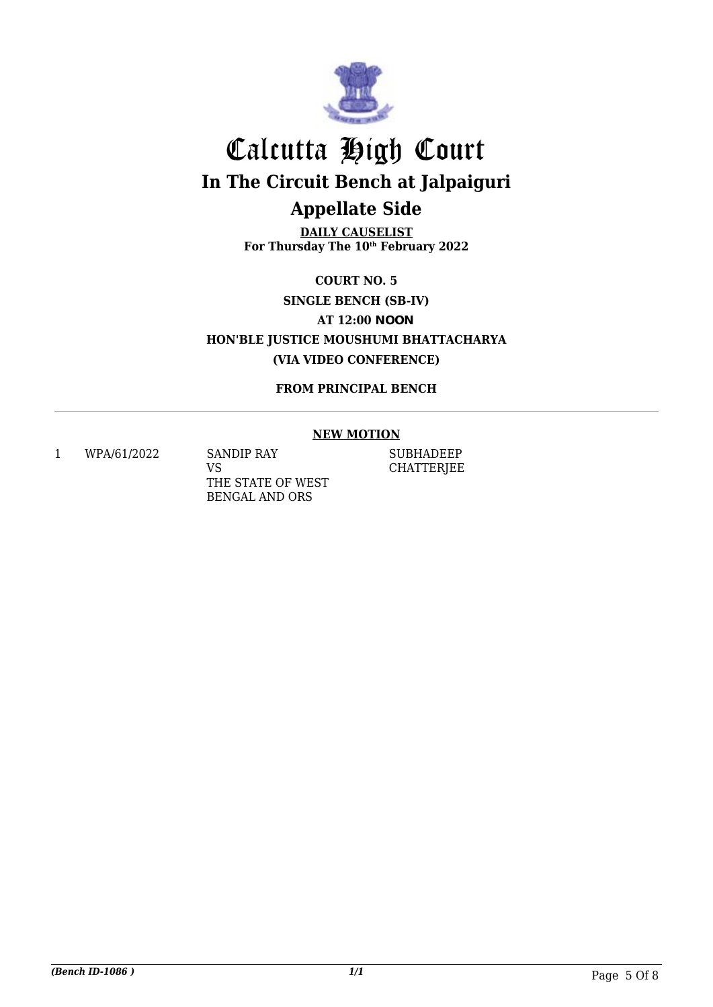

**DAILY CAUSELIST For Thursday The 10th February 2022**

**COURT NO. 5 SINGLE BENCH (SB-IV) AT 12:00 NOON HON'BLE JUSTICE MOUSHUMI BHATTACHARYA (VIA VIDEO CONFERENCE)**

**FROM PRINCIPAL BENCH**

#### **NEW MOTION**

1 WPA/61/2022 SANDIP RAY

VS THE STATE OF WEST BENGAL AND ORS

SUBHADEEP **CHATTERJEE**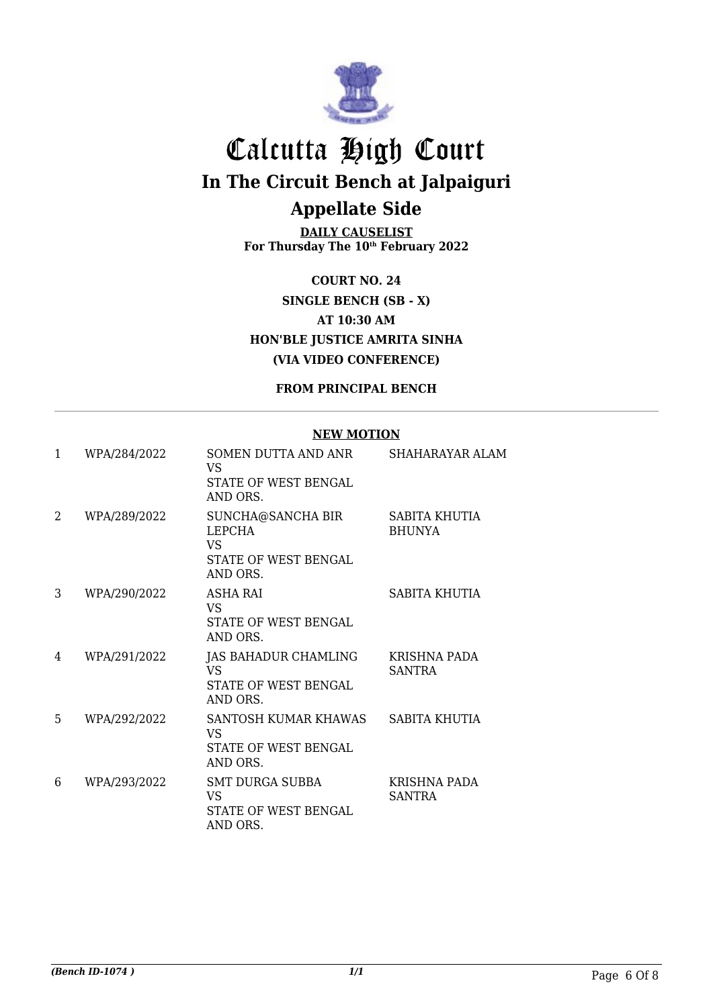

**DAILY CAUSELIST For Thursday The 10th February 2022**

**COURT NO. 24 SINGLE BENCH (SB - X) AT 10:30 AM HON'BLE JUSTICE AMRITA SINHA (VIA VIDEO CONFERENCE)**

#### **FROM PRINCIPAL BENCH**

#### **NEW MOTION**

| 1 | WPA/284/2022 | SOMEN DUTTA AND ANR<br>VS.                                                   | SHAHARAYAR ALAM                |
|---|--------------|------------------------------------------------------------------------------|--------------------------------|
|   |              | STATE OF WEST BENGAL<br>AND ORS.                                             |                                |
| 2 | WPA/289/2022 | SUNCHA@SANCHA BIR<br>LEPCHA<br><b>VS</b><br>STATE OF WEST BENGAL<br>AND ORS. | SABITA KHUTIA<br><b>BHUNYA</b> |
| 3 | WPA/290/2022 | <b>ASHA RAI</b><br><b>VS</b><br>STATE OF WEST BENGAL<br>AND ORS.             | SABITA KHUTIA                  |
| 4 | WPA/291/2022 | JAS BAHADUR CHAMLING<br>VS.<br>STATE OF WEST BENGAL<br>AND ORS.              | KRISHNA PADA<br><b>SANTRA</b>  |
| 5 | WPA/292/2022 | SANTOSH KUMAR KHAWAS<br>VS.<br>STATE OF WEST BENGAL<br>AND ORS.              | <b>SABITA KHUTIA</b>           |
| 6 | WPA/293/2022 | <b>SMT DURGA SUBBA</b><br>VS<br>STATE OF WEST BENGAL<br>AND ORS.             | KRISHNA PADA<br><b>SANTRA</b>  |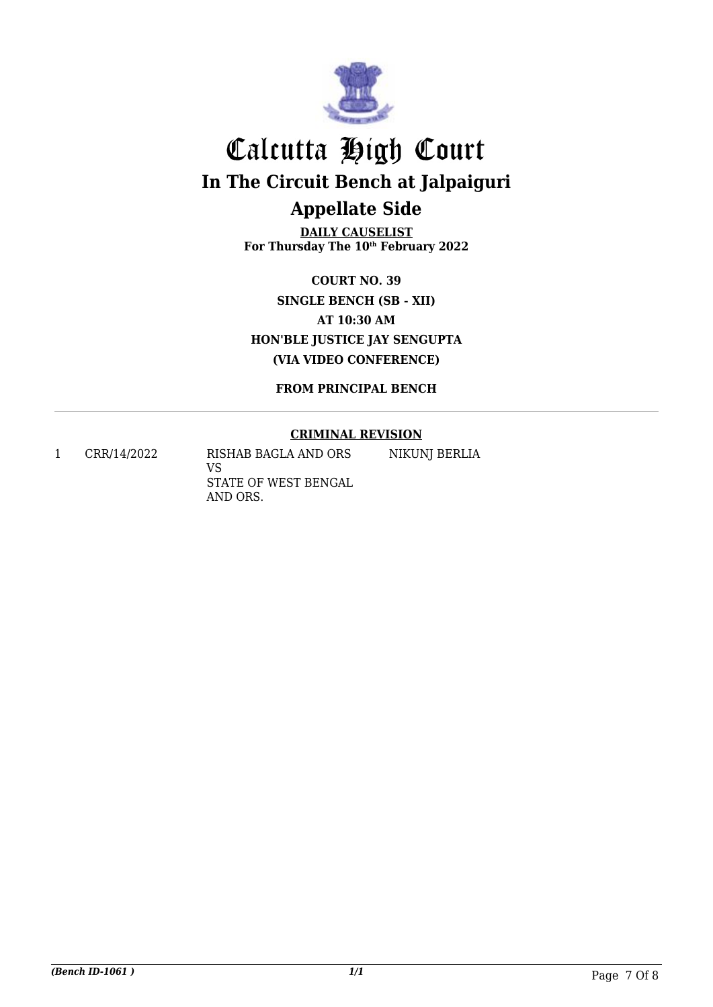

**DAILY CAUSELIST For Thursday The 10th February 2022**

**COURT NO. 39 SINGLE BENCH (SB - XII) AT 10:30 AM HON'BLE JUSTICE JAY SENGUPTA (VIA VIDEO CONFERENCE)**

**FROM PRINCIPAL BENCH**

#### **CRIMINAL REVISION**

NIKUNJ BERLIA

1 CRR/14/2022 RISHAB BAGLA AND ORS VS STATE OF WEST BENGAL AND ORS.